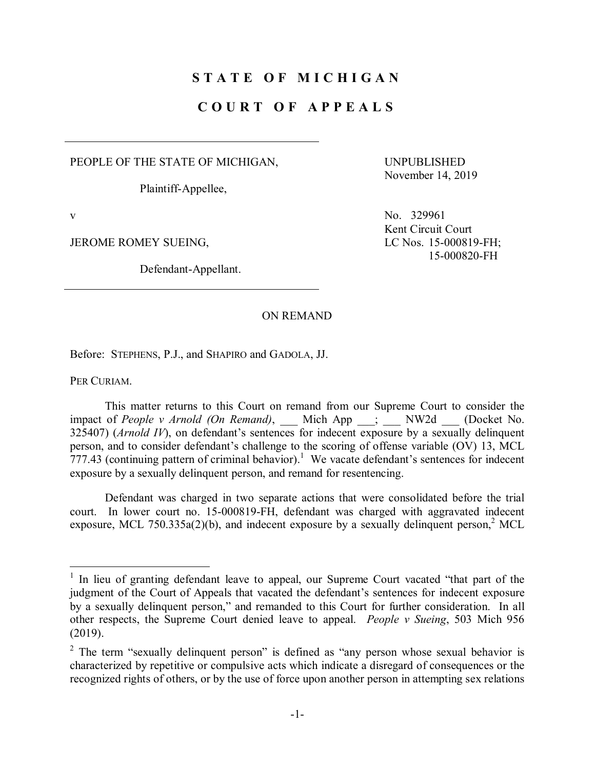## **S T A T E O F M I C H I G A N**

## **C O U R T O F A P P E A L S**

PEOPLE OF THE STATE OF MICHIGAN,

Plaintiff-Appellee,

JEROME ROMEY SUEING, LC Nos. 15-000819-FH;

Defendant-Appellant.

UNPUBLISHED November 14, 2019

v No. 329961 Kent Circuit Court 15-000820-FH

## ON REMAND

Before: STEPHENS, P.J., and SHAPIRO and GADOLA, JJ.

PER CURIAM.

This matter returns to this Court on remand from our Supreme Court to consider the impact of *People v Arnold (On Remand)*, Mich App ; NW2d (Docket No. 325407) (*Arnold IV*), on defendant's sentences for indecent exposure by a sexually delinquent person, and to consider defendant's challenge to the scoring of offense variable (OV) 13, MCL  $777.43$  (continuing pattern of criminal behavior).<sup>1</sup> We vacate defendant's sentences for indecent exposure by a sexually delinquent person, and remand for resentencing.

Defendant was charged in two separate actions that were consolidated before the trial court. In lower court no. 15-000819-FH, defendant was charged with aggravated indecent exposure, MCL 750.335a(2)(b), and indecent exposure by a sexually delinquent person,<sup>2</sup> MCL

 $1$  In lieu of granting defendant leave to appeal, our Supreme Court vacated "that part of the judgment of the Court of Appeals that vacated the defendant's sentences for indecent exposure by a sexually delinquent person," and remanded to this Court for further consideration. In all other respects, the Supreme Court denied leave to appeal. *People v Sueing*, 503 Mich 956 (2019).

<sup>&</sup>lt;sup>2</sup> The term "sexually delinquent person" is defined as "any person whose sexual behavior is characterized by repetitive or compulsive acts which indicate a disregard of consequences or the recognized rights of others, or by the use of force upon another person in attempting sex relations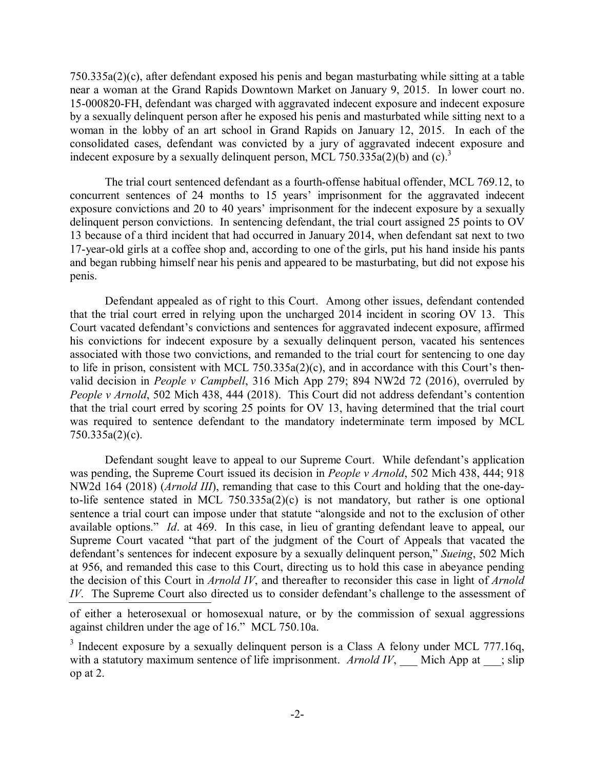750.335a(2)(c), after defendant exposed his penis and began masturbating while sitting at a table near a woman at the Grand Rapids Downtown Market on January 9, 2015. In lower court no. 15-000820-FH, defendant was charged with aggravated indecent exposure and indecent exposure by a sexually delinquent person after he exposed his penis and masturbated while sitting next to a woman in the lobby of an art school in Grand Rapids on January 12, 2015. In each of the consolidated cases, defendant was convicted by a jury of aggravated indecent exposure and indecent exposure by a sexually delinquent person, MCL 750.335a(2)(b) and (c).<sup>3</sup>

The trial court sentenced defendant as a fourth-offense habitual offender, MCL 769.12, to concurrent sentences of 24 months to 15 years' imprisonment for the aggravated indecent exposure convictions and 20 to 40 years' imprisonment for the indecent exposure by a sexually delinquent person convictions. In sentencing defendant, the trial court assigned 25 points to OV 13 because of a third incident that had occurred in January 2014, when defendant sat next to two 17-year-old girls at a coffee shop and, according to one of the girls, put his hand inside his pants and began rubbing himself near his penis and appeared to be masturbating, but did not expose his penis.

Defendant appealed as of right to this Court. Among other issues, defendant contended that the trial court erred in relying upon the uncharged 2014 incident in scoring OV 13. This Court vacated defendant's convictions and sentences for aggravated indecent exposure, affirmed his convictions for indecent exposure by a sexually delinquent person, vacated his sentences associated with those two convictions, and remanded to the trial court for sentencing to one day to life in prison, consistent with MCL 750.335a(2)(c), and in accordance with this Court's thenvalid decision in *People v Campbell*, 316 Mich App 279; 894 NW2d 72 (2016), overruled by *People v Arnold*, 502 Mich 438, 444 (2018). This Court did not address defendant's contention that the trial court erred by scoring 25 points for OV 13, having determined that the trial court was required to sentence defendant to the mandatory indeterminate term imposed by MCL 750.335a(2)(c).

Defendant sought leave to appeal to our Supreme Court. While defendant's application was pending, the Supreme Court issued its decision in *People v Arnold*, 502 Mich 438, 444; 918 NW2d 164 (2018) (*Arnold III*), remanding that case to this Court and holding that the one-dayto-life sentence stated in MCL 750.335a(2)(c) is not mandatory, but rather is one optional sentence a trial court can impose under that statute "alongside and not to the exclusion of other available options." *Id*. at 469. In this case, in lieu of granting defendant leave to appeal, our Supreme Court vacated "that part of the judgment of the Court of Appeals that vacated the defendant's sentences for indecent exposure by a sexually delinquent person," *Sueing*, 502 Mich at 956, and remanded this case to this Court, directing us to hold this case in abeyance pending the decision of this Court in *Arnold IV*, and thereafter to reconsider this case in light of *Arnold IV*. The Supreme Court also directed us to consider defendant's challenge to the assessment of

of either a heterosexual or homosexual nature, or by the commission of sexual aggressions against children under the age of 16." MCL 750.10a.

<sup>3</sup> Indecent exposure by a sexually delinquent person is a Class A felony under MCL 777.16q, with a statutory maximum sentence of life imprisonment. *Arnold IV*, Mich App at ; slip op at 2.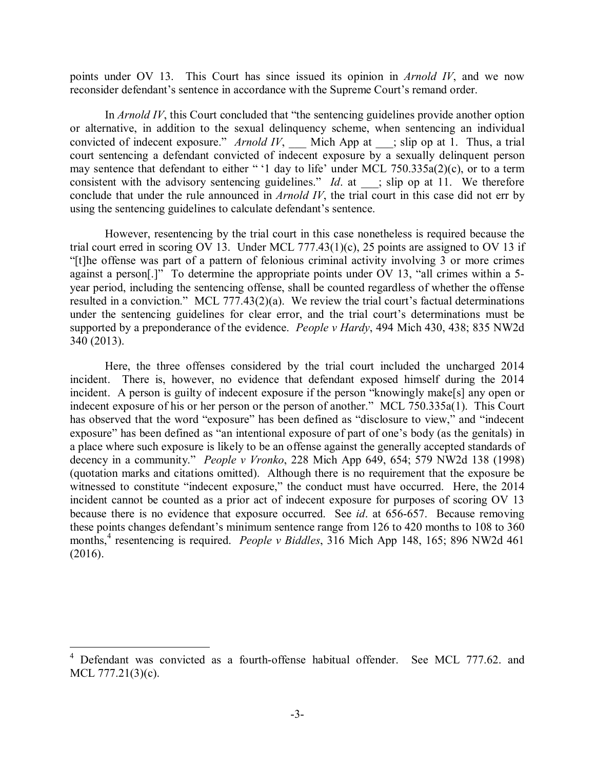points under OV 13. This Court has since issued its opinion in *Arnold IV*, and we now reconsider defendant's sentence in accordance with the Supreme Court's remand order.

In *Arnold IV*, this Court concluded that "the sentencing guidelines provide another option or alternative, in addition to the sexual delinquency scheme, when sentencing an individual convicted of indecent exposure." *Arnold IV*, Mich App at ; slip op at 1. Thus, a trial court sentencing a defendant convicted of indecent exposure by a sexually delinquent person may sentence that defendant to either " '1 day to life' under MCL 750.335a(2)(c), or to a term consistent with the advisory sentencing guidelines." *Id.* at ; slip op at 11. We therefore conclude that under the rule announced in *Arnold IV*, the trial court in this case did not err by using the sentencing guidelines to calculate defendant's sentence.

However, resentencing by the trial court in this case nonetheless is required because the trial court erred in scoring OV 13. Under MCL 777.43(1)(c), 25 points are assigned to OV 13 if "[t]he offense was part of a pattern of felonious criminal activity involving 3 or more crimes against a person[.]" To determine the appropriate points under OV 13, "all crimes within a 5 year period, including the sentencing offense, shall be counted regardless of whether the offense resulted in a conviction." MCL 777.43(2)(a). We review the trial court's factual determinations under the sentencing guidelines for clear error, and the trial court's determinations must be supported by a preponderance of the evidence. *People v Hardy*, 494 Mich 430, 438; 835 NW2d 340 (2013).

Here, the three offenses considered by the trial court included the uncharged 2014 incident. There is, however, no evidence that defendant exposed himself during the 2014 incident. A person is guilty of indecent exposure if the person "knowingly make[s] any open or indecent exposure of his or her person or the person of another." MCL 750.335a(1). This Court has observed that the word "exposure" has been defined as "disclosure to view," and "indecent exposure" has been defined as "an intentional exposure of part of one's body (as the genitals) in a place where such exposure is likely to be an offense against the generally accepted standards of decency in a community." *People v Vronko*, 228 Mich App 649, 654; 579 NW2d 138 (1998) (quotation marks and citations omitted). Although there is no requirement that the exposure be witnessed to constitute "indecent exposure," the conduct must have occurred. Here, the 2014 incident cannot be counted as a prior act of indecent exposure for purposes of scoring OV 13 because there is no evidence that exposure occurred. See *id*. at 656-657. Because removing these points changes defendant's minimum sentence range from 126 to 420 months to 108 to 360 months,<sup>4</sup> resentencing is required. *People v Biddles*, 316 Mich App 148, 165; 896 NW2d 461 (2016).

<sup>&</sup>lt;sup>4</sup> Defendant was convicted as a fourth-offense habitual offender. See MCL 777.62, and MCL 777.21(3)(c).